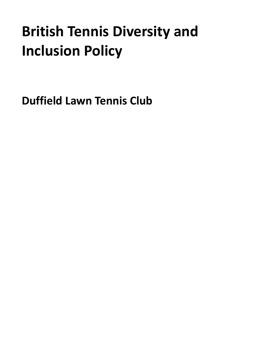# **British Tennis Diversity and Inclusion Policy**

<span id="page-0-0"></span>**Duffield Lawn Tennis Club**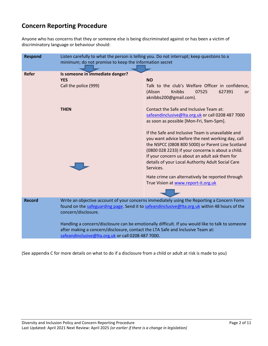# **Concern Reporting Procedure**

Anyone who has concerns that they or someone else is being discriminated against or has been a victim of discriminatory language or behaviour should:

| <b>Respond</b> | Listen carefully to what the person is telling you. Do not interrupt; keep questions to a<br>minimum; do not promise to keep the information secret                                                                                      |                                                                                                                                                                                                                                                                                                                                       |
|----------------|------------------------------------------------------------------------------------------------------------------------------------------------------------------------------------------------------------------------------------------|---------------------------------------------------------------------------------------------------------------------------------------------------------------------------------------------------------------------------------------------------------------------------------------------------------------------------------------|
| <b>Refer</b>   | Is someone in immediate danger?<br><b>YES</b><br>Call the police (999)                                                                                                                                                                   | <b>NO</b><br>Talk to the club's Welfare Officer in confidence,<br>Knibbs<br>(Alison<br>07525<br>627391<br><b>or</b><br>aknibbs200@gmail.com).                                                                                                                                                                                         |
|                | <b>THEN</b>                                                                                                                                                                                                                              | Contact the Safe and Inclusive Team at:<br>safeandinclusive@lta.org.uk or call 0208 487 7000<br>as soon as possible [Mon-Fri, 9am-5pm].                                                                                                                                                                                               |
|                |                                                                                                                                                                                                                                          | If the Safe and Inclusive Team is unavailable and<br>you want advice before the next working day, call<br>the NSPCC (0808 800 5000) or Parent Line Scotland<br>(0800 028 2233) if your concerns is about a child.<br>If your concern us about an adult ask them for<br>details of your Local Authority Adult Social Care<br>Services. |
|                |                                                                                                                                                                                                                                          | Hate crime can alternatively be reported through<br>True Vision at www.report-it.org.uk                                                                                                                                                                                                                                               |
| <b>Record</b>  | Write an objective account of your concerns immediately using the Reporting a Concern Form<br>found on the safeguarding page. Send it to safeandinclusive@lta.org.uk within 48 hours of the<br>concern/disclosure.                       |                                                                                                                                                                                                                                                                                                                                       |
|                | Handling a concern/disclosure can be emotionally difficult. If you would like to talk to someone<br>after making a concern/disclosure, contact the LTA Safe and Inclusive Team at:<br>safeandinclusive@lta.org.uk or call 0208 487 7000. |                                                                                                                                                                                                                                                                                                                                       |

(See appendix C for more details on what to do if a disclosure from a child or adult at risk is made to you)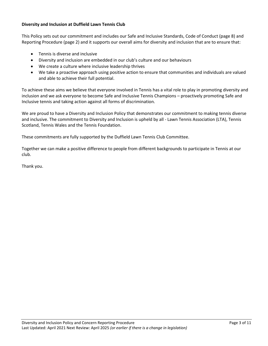# **Diversity and Inclusion at Duffield Lawn Tennis Club**

This Policy sets out our commitment and includes our Safe and Inclusive Standards, Code of Conduct (page 8) and Reporting Procedure (page 2) and it supports our overall aims for diversity and inclusion that are to ensure that:

- Tennis is diverse and inclusive
- Diversity and inclusion are embedded in our club's culture and our behaviours
- We create a culture where inclusive leadership thrives
- We take a proactive approach using positive action to ensure that communities and individuals are valued and able to achieve their full potential.

To achieve these aims we believe that everyone involved in Tennis has a vital role to play in promoting diversity and inclusion and we ask everyone to become Safe and Inclusive Tennis Champions – proactively promoting Safe and Inclusive tennis and taking action against all forms of discrimination.

We are proud to have a Diversity and Inclusion Policy that demonstrates our commitment to making tennis diverse and inclusive. The commitment to Diversity and Inclusion is upheld by all - Lawn Tennis Association (LTA), Tennis Scotland, Tennis Wales and the Tennis Foundation.

These commitments are fully supported by the Duffield Lawn Tennis Club Committee.

Together we can make a positive difference to people from different backgrounds to participate in Tennis at our club.

Thank you.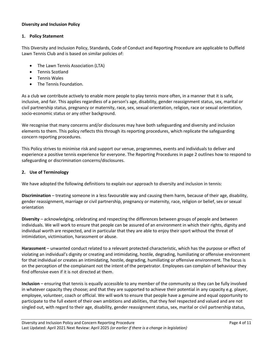# **Diversity and Inclusion Policy**

### **1. Policy Statement**

This Diversity and Inclusion Policy, Standards, Code of Conduct and Reporting Procedure are applicable to Duffield Lawn Tennis Club and is based on similar policies of:

- The Lawn Tennis Association (LTA)
- Tennis Scotland
- Tennis Wales
- The Tennis Foundation.

As a club we contribute actively to enable more people to play tennis more often, in a manner that it is safe, inclusive, and fair. This applies regardless of a person's age, disability, gender reassignment status, sex, marital or civil partnership status, pregnancy or maternity, race, sex, sexual orientation, religion, race or sexual orientation, socio-economic status or any other background.

We recognise that many concerns and/or disclosures may have both safeguarding and diversity and inclusion elements to them. This policy reflects this through its reporting procedures, which replicate the safeguarding concern reporting procedures.

This Policy strives to minimise risk and support our venue, programmes, events and individuals to deliver and experience a positive tennis experience for everyone. The Reporting Procedures in page 2 outlines how to respond to safeguarding or discrimination concerns/disclosures.

# **2. Use of Terminology**

We have adopted the following definitions to explain our approach to diversity and inclusion in tennis:

**Discrimination** – treating someone in a less favourable way and causing them harm, because of their age, disability, gender reassignment, marriage or civil partnership, pregnancy or maternity, race, religion or belief, sex or sexual orientation

**Diversity** – acknowledging, celebrating and respecting the differences between groups of people and between individuals. We will work to ensure that people can be assured of an environment in which their rights, dignity and individual worth are respected, and in particular that they are able to enjoy their sport without the threat of intimidation, victimisation, harassment or abuse.

**Harassment** – unwanted conduct related to a relevant protected characteristic, which has the purpose or effect of violating an individual's dignity or creating and intimidating, hostile, degrading, humiliating or offensive environment for that individual or creates an intimidating, hostile, degrading, humiliating or offensive environment. The focus is on the perception of the complainant not the intent of the perpetrator. Employees can complain of behaviour they find offensive even if it is not directed at them.

**Inclusion** – ensuring that tennis is equally accessible to any member of the community so they can be fully involved in whatever capacity they choose; and that they are supported to achieve their potential in any capacity e.g. player, employee, volunteer, coach or official. We will work to ensure that people have a genuine and equal opportunity to participate to the full extent of their own ambitions and abilities, that they feel respected and valued and are not singled out, with regard to their age, disability, gender reassignment status, sex, marital or civil partnership status,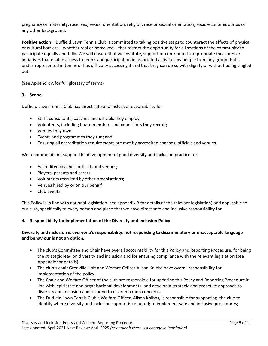pregnancy or maternity, race, sex, sexual orientation, religion, race or sexual orientation, socio-economic status or any other background.

**Positive action** – Duffield Lawn Tennis Club is committed to taking positive steps to counteract the effects of physical or cultural barriers – whether real or perceived – that restrict the opportunity for all sections of the community to participate equally and fully. We will ensure that we institute, support or contribute to appropriate measures or initiatives that enable access to tennis and participation in associated activities by people from any group that is under-represented in tennis or has difficulty accessing it and that they can do so with dignity or without being singled out.

(See Appendix A for full glossary of terms)

# **3. Scope**

Duffield Lawn Tennis Club has direct safe and inclusive responsibility for:

- Staff, consultants, coaches and officials they employ;
- Volunteers, including board members and councillors they recruit;
- Venues they own;
- Events and programmes they run; and
- Ensuring all accreditation requirements are met by accredited coaches, officials and venues.

We recommend and support the development of good diversity and inclusion practice to:

- Accredited coaches, officials and venues;
- Players, parents and carers;
- Volunteers recruited by other organisations;
- Venues hired by or on our behalf
- Club Events.

This Policy is in line with national legislation (see appendix B for details of the relevant legislation) and applicable to our club, specifically to every person and place that we have direct safe and inclusive responsibility for.

#### **4. Responsibility for implementation of the Diversity and Inclusion Policy**

# **Diversity and inclusion is everyone's responsibility: not responding to discriminatory or unacceptable language and behaviour is not an option.**

- The club's Committee and Chair have overall accountability for this Policy and Reporting Procedure, for being the strategic lead on diversity and inclusion and for ensuring compliance with the relevant legislation (see Appendix for details).
- The club's chair Grenville Holt and Welfare Officer Alison Knibbs have overall responsibility for implementation of the policy.
- The Chair and Welfare Officer of the club are responsible for updating this Policy and Reporting Procedure in line with legislative and organisational developments; and develop a strategic and proactive approach to diversity and inclusion and respond to discrimination concerns.
- The Duffield Lawn Tennis Club's Welfare Officer, Alison Knibbs, is responsible for supporting the club to identify where diversity and inclusion support is required; to implement safe and inclusive procedures;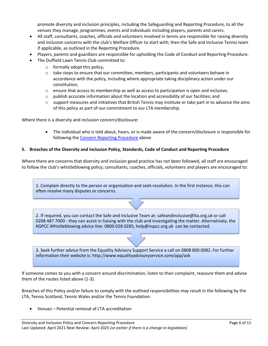promote diversity and inclusion principles, including the Safeguarding and Reporting Procedure, to all the venues they manage, programmes, events and individuals including players, parents and carers.

- All staff, consultants, coaches, officials and volunteers involved in tennis are responsible for raising diversity and inclusion concerns with the club's Welfare Officer to start with; then the Safe and Inclusive Tennis team if applicable, as outlined in the Reporting Procedure.
- Players, parents and guardians are responsible for upholding the Code of Conduct and Reporting Procedure.
- The Duffield Lawn Tennis Club committed to:
	- o formally adopt this policy,
	- $\circ$  take steps to ensure that our committee, members, participants and volunteers behave in accordance with the policy, including where appropriate taking disciplinary action under our constitution;
	- $\circ$  ensure that access to membership as well as access to participation is open and inclusive;
	- $\circ$  publish accurate information about the location and accessibility of our facilities; and
	- $\circ$  support measures and initiatives that British Tennis may institute or take part in to advance the aims of this policy as part of our commitment to our LTA membership.

Where there is a diversity and inclusion concern/disclosure:

 The individual who is told about, hears, or is made aware of the concern/disclosure is responsible for following the [Concern Reporting Procedure](#page-0-0) above

#### **5. Breaches of the Diversity and Inclusion Policy, Standards, Code of Conduct and Reporting Procedure**

Where there are concerns that diversity and inclusion good practice has not been followed, all staff are encouraged to follow the club's whistleblowing policy; consultants, coaches, officials, volunteers and players are encouraged to:

1. Complain directly to the person or organisation and seek resolution. In the first instance, this can often resolve many disputes or concerns.

[2. If required, you can contact the Safe and Inclusive Team at: safeandinclusive@lta.org.uk or call](mailto:safeandinclusive@lta.org.uk)  0208 487 7000 - they can assist in liaising with the club and investigating the matter. Alternatively, the NSPCC Whistleblowing advice line: 0800 028 0285; help@nspcc.org.uk can be contacted.

3. Seek further advice from the Equality Advisory Support Service a call on 0808 800 0082. For further information their website is: http://www.equalityadvisoryservice.com/app/ask

If someone comes to you with a concern around discrimination, listen to their complaint, reassure them and advise them of the routes listed above (1-3).

Breaches of this Policy and/or failure to comply with the outlined responsibilities may result in the following by the LTA, Tennis Scotland, Tennis Wales and/or the Tennis Foundation:

Venues – Potential removal of LTA accreditation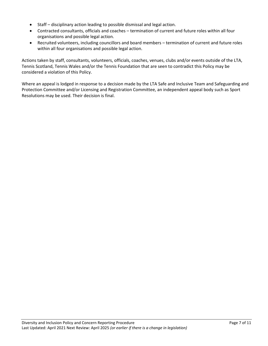- Staff disciplinary action leading to possible dismissal and legal action.
- Contracted consultants, officials and coaches termination of current and future roles within all four organisations and possible legal action.
- Recruited volunteers, including councillors and board members termination of current and future roles within all four organisations and possible legal action.

Actions taken by staff, consultants, volunteers, officials, coaches, venues, clubs and/or events outside of the LTA, Tennis Scotland, Tennis Wales and/or the Tennis Foundation that are seen to contradict this Policy may be considered a violation of this Policy.

Where an appeal is lodged in response to a decision made by the LTA Safe and Inclusive Team and Safeguarding and Protection Committee and/or Licensing and Registration Committee, an independent appeal body such as Sport Resolutions may be used. Their decision is final.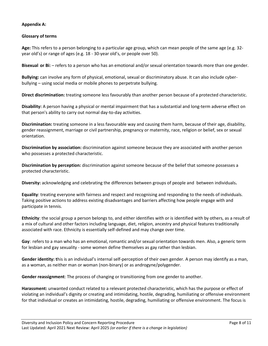# **Appendix A:**

# **Glossary of terms**

**Age:** This refers to a person belonging to a particular age group, which can mean people of the same age (e.g. 32 year old's) or range of ages (e.g. 18 - 30-year old's, or people over 50).

**Bisexual or Bi:** – refers to a person who has an emotional and/or sexual orientation towards more than one gender.

**Bullying:** can involve any form of physical, emotional, sexual or discriminatory abuse. It can also include cyberbullying – using social media or mobile phones to perpetrate bullying.

**Direct discrimination:** treating someone less favourably than another person because of a protected characteristic.

**Disability:** A person having a physical or mental impairment that has a substantial and long-term adverse effect on that person's ability to carry out normal day-to-day activities.

**Discrimination:** treating someone in a less favourable way and causing them harm, because of their age, disability, gender reassignment, marriage or civil partnership, pregnancy or maternity, race, religion or belief, sex or sexual orientation.

**Discrimination by association:** discrimination against someone because they are associated with another person who possesses a protected characteristic.

**Discrimination by perception:** discrimination against someone because of the belief that someone possesses a protected characteristic.

**Diversity:** acknowledging and celebrating the differences between groups of people and between individuals**.**

**Equality**: treating everyone with fairness and respect and recognising and responding to the needs of individuals. Taking positive actions to address existing disadvantages and barriers affecting how people engage with and participate in tennis.

**Ethnicity**: the social group a person belongs to, and either identifies with or is identified with by others, as a result of a mix of cultural and other factors including language, diet, religion, ancestry and physical features traditionally associated with race. Ethnicity is essentially self-defined and may change over time.

**Gay**: refers to a man who has an emotional, romantic and/or sexual orientation towards men. Also, a generic term for lesbian and gay sexuality - some women define themselves as gay rather than lesbian.

**Gender identity: t**his is an individual's internal self-perception of their own gender. A person may identify as a man, as a woman, as neither man or woman (non-binary) or as androgyne/polygender.

**Gender reassignment**: The process of changing or transitioning from one gender to another.

**Harassment:** unwanted conduct related to a relevant protected characteristic, which has the purpose or effect of violating an individual's dignity or creating and intimidating, hostile, degrading, humiliating or offensive environment for that individual or creates an intimidating, hostile, degrading, humiliating or offensive environment. The focus is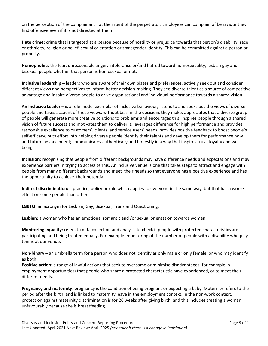on the perception of the complainant not the intent of the perpetrator. Employees can complain of behaviour they find offensive even if it is not directed at them.

**Hate crime:** crime that is targeted at a person because of hostility or prejudice towards that person's disability, race or ethnicity, religion or belief, sexual orientation or transgender identity. This can be committed against a person or property.

**Homophobia**: the fear, unreasonable anger, intolerance or/and hatred toward homosexuality, lesbian gay and bisexual people whether that person is homosexual or not.

**Inclusive leadership** – leaders who are aware of their own biases and preferences, actively seek out and consider different views and perspectives to inform better decision-making. They see diverse talent as a source of competitive advantage and inspire diverse people to drive organisational and individual performance towards a shared vision.

**An Inclusive Leader** – is a role model exemplar of inclusive behaviour; listens to and seeks out the views of diverse people and takes account of these views, without bias, in the decisions they make; appreciates that a diverse group of people will generate more creative solutions to problems and encourages this; inspires people through a shared vision of future success and motivates them to deliver it; leverages difference for high performance and provides responsive excellence to customers', clients' and service users' needs; provides positive feedback to boost people's self-efficacy; puts effort into helping diverse people identify their talents and develop them for performance now and future advancement; communicates authentically and honestly in a way that inspires trust, loyalty and wellbeing.

**Inclusion:** recognising that people from different backgrounds may have difference needs and expectations and may experience barriers in trying to access tennis. An inclusive venue is one that takes steps to attract and engage with people from many different backgrounds and meet their needs so that everyone has a positive experience and has the opportunity to achieve their potential.

**Indirect discrimination:** a practice, policy or rule which applies to everyone in the same way, but that has a worse effect on some people than others.

**LGBTQ:** an acronym for Lesbian, Gay, Bisexual, Trans and Questioning.

**Lesbian**: a woman who has an emotional romantic and /or sexual orientation towards women.

**Monitoring equality**: refers to data collection and analysis to check if people with protected characteristics are participating and being treated equally. For example: monitoring of the number of people with a disability who play tennis at our venue.

**Non-binary** – an umbrella term for a person who does not identify as only male or only female, or who may identify as both.

**Positive action:** a range of lawful actions that seek to overcome or minimise disadvantages (for example in employment opportunities) that people who share a protected characteristic have experienced, or to meet their different needs.

**Pregnancy and maternity**: pregnancy is the condition of being pregnant or expecting a baby. Maternity refers to the period after the birth, and is linked to maternity leave in the employment context. In the non-work context, protection against maternity discrimination is for 26 weeks after giving birth, and this includes treating a woman unfavourably because she is breastfeeding.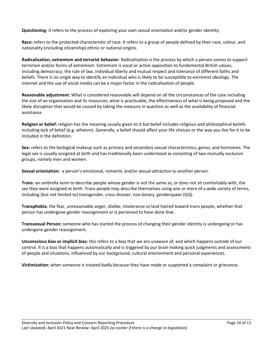**Questioning**: it refers to the process of exploring your own sexual orientation and/or gender identity.

**Race:** refers to the protected characteristic of race. It refers to a group of people defined by their race, colour, and nationality (including citizenship) ethnic or national origins.

**Radicalisation, extremism and terrorist behavior**: Radicalisation is the process by which a person comes to support terrorism and/or forms of extremism. Extremism is vocal or active opposition to fundamental British values, including democracy, the rule of law, individual liberty and mutual respect and tolerance of different faiths and beliefs. There is no single way to identify an individual who is likely to be susceptible to extremist ideology. The internet and the use of social media can be a major factor in the radicalisation of people.

**Reasonable adjustment**: What is considered reasonable will depend on all the circumstances of the case including the size of an organisation and its resources, what is practicable, the effectiveness of what is being proposed and the likely disruption that would be caused by taking the measure in question as well as the availability of financial assistance

**Religion or belief:** religion has the meaning usually given to it but belief includes religious and philosophical beliefs including lack of belief (e.g. atheism). Generally, a belief should affect your life choices or the way you live for it to be included in the definition.

**Sex:** refers to the biological makeup such as primary and secondary sexual characteristics, genes, and hormones. The legal sex is usually assigned at birth and has traditionally been understood as consisting of two mutually exclusive groups, namely men and women.

**Sexual orientation:** a person's emotional, romantic and/or sexual attraction to another person.

**Trans:** an umbrella term to describe people whose gender is not the same as, or does not sit comfortably with, the sex they were assigned at birth. Trans people may describe themselves using one or more of a wide variety of terms, including (but not limited to) transgender, cross dresser, non-binary, genderqueer (GQ).

**Transphobia**: the fear, unreasonable anger, dislike, intolerance or/and hatred toward trans people, whether that person has undergone gender reassignment or is perceived to have done that.

**Transsexual Person:** someone who has started the process of changing their gender identity is undergoing or has undergone gender reassignment.

**Unconscious bias or implicit bias:** this refers to a bias that we are unaware of, and which happens outside of our control. It is a bias that happens automatically and is triggered by our brain making quick judgments and assessments of people and situations, influenced by our background, cultural environment and personal experiences.

**Victimisation:** when someone is treated badly because they have made or supported a complaint or grievance.